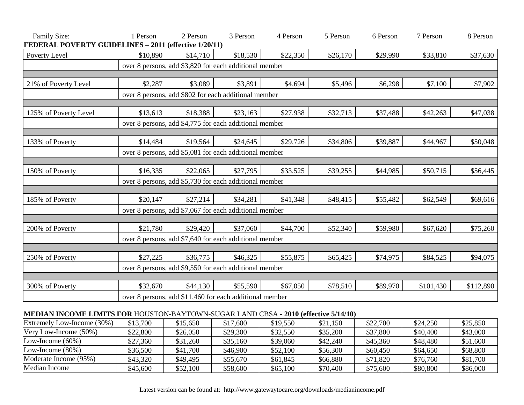| Family Size:<br>FEDERAL POVERTY GUIDELINES - 2011 (effective 1/20/11) | 1 Person                                                | 2 Person | 3 Person                                               | 4 Person | 5 Person | 6 Person | 7 Person  | 8 Person  |
|-----------------------------------------------------------------------|---------------------------------------------------------|----------|--------------------------------------------------------|----------|----------|----------|-----------|-----------|
| Poverty Level                                                         | \$10,890                                                | \$14,710 | \$18,530                                               | \$22,350 | \$26,170 | \$29,990 | \$33,810  | \$37,630  |
|                                                                       |                                                         |          | over 8 persons, add \$3,820 for each additional member |          |          |          |           |           |
|                                                                       |                                                         |          |                                                        |          |          |          |           |           |
| 21% of Poverty Level                                                  | \$2,287                                                 | \$3,089  | \$3,891                                                | \$4,694  | \$5,496  | \$6,298  | \$7,100   | \$7,902   |
|                                                                       | over 8 persons, add \$802 for each additional member    |          |                                                        |          |          |          |           |           |
|                                                                       |                                                         |          |                                                        |          |          |          |           |           |
| 125% of Poverty Level                                                 | \$13,613                                                | \$18,388 | \$23,163                                               | \$27,938 | \$32,713 | \$37,488 | \$42,263  | \$47,038  |
|                                                                       | over 8 persons, add \$4,775 for each additional member  |          |                                                        |          |          |          |           |           |
|                                                                       |                                                         |          |                                                        |          |          |          |           |           |
| 133% of Poverty                                                       | \$14,484                                                | \$19,564 | \$24,645                                               | \$29,726 | \$34,806 | \$39,887 | \$44,967  | \$50,048  |
|                                                                       | over 8 persons, add \$5,081 for each additional member  |          |                                                        |          |          |          |           |           |
|                                                                       |                                                         |          |                                                        |          |          |          |           |           |
| 150% of Poverty                                                       | \$16,335                                                | \$22,065 | \$27,795                                               | \$33,525 | \$39,255 | \$44,985 | \$50,715  | \$56,445  |
|                                                                       | over 8 persons, add \$5,730 for each additional member  |          |                                                        |          |          |          |           |           |
|                                                                       |                                                         |          |                                                        |          |          |          |           |           |
| 185% of Poverty                                                       | \$20,147                                                | \$27,214 | \$34,281                                               | \$41,348 | \$48,415 | \$55,482 | \$62,549  | \$69,616  |
|                                                                       | over 8 persons, add \$7,067 for each additional member  |          |                                                        |          |          |          |           |           |
|                                                                       |                                                         |          |                                                        |          |          |          |           |           |
| 200% of Poverty                                                       | \$21,780                                                | \$29,420 | \$37,060                                               | \$44,700 | \$52,340 | \$59,980 | \$67,620  | \$75,260  |
|                                                                       | over 8 persons, add \$7,640 for each additional member  |          |                                                        |          |          |          |           |           |
|                                                                       |                                                         |          |                                                        |          |          |          |           |           |
| 250% of Poverty                                                       | \$27,225                                                | \$36,775 | \$46,325                                               | \$55,875 | \$65,425 | \$74,975 | \$84,525  | \$94,075  |
|                                                                       | over 8 persons, add \$9,550 for each additional member  |          |                                                        |          |          |          |           |           |
|                                                                       |                                                         |          |                                                        |          |          |          |           |           |
| 300% of Poverty                                                       | \$32,670                                                | \$44,130 | \$55,590                                               | \$67,050 | \$78,510 | \$89,970 | \$101,430 | \$112,890 |
|                                                                       | over 8 persons, add \$11,460 for each additional member |          |                                                        |          |          |          |           |           |

## **MEDIAN INCOME LIMITS FOR** HOUSTON-BAYTOWN-SUGAR LAND CBSA **- 2010 (effective 5/14/10)**

| Extremely Low-Income (30%) | \$13,700 | \$15,650 | \$17,600 | \$19,550 | \$21,150 | \$22,700 | \$24,250 | \$25,850 |
|----------------------------|----------|----------|----------|----------|----------|----------|----------|----------|
| Very Low-Income $(50\%)$   | \$22,800 | \$26,050 | \$29,300 | \$32,550 | \$35,200 | \$37,800 | \$40,400 | \$43,000 |
| Low-Income $(60\%)$        | \$27,360 | \$31,260 | \$35,160 | \$39,060 | \$42,240 | \$45,360 | \$48,480 | \$51,600 |
| Low-Income $(80\%)$        | \$36,500 | \$41,700 | \$46,900 | \$52,100 | \$56,300 | \$60,450 | \$64,650 | \$68,800 |
| Moderate Income (95%)      | \$43,320 | \$49,495 | \$55,670 | \$61,845 | \$66,880 | \$71,820 | \$76,760 | \$81,700 |
| Median Income              | \$45,600 | \$52,100 | \$58,600 | \$65,100 | \$70,400 | \$75,600 | \$80,800 | \$86,000 |